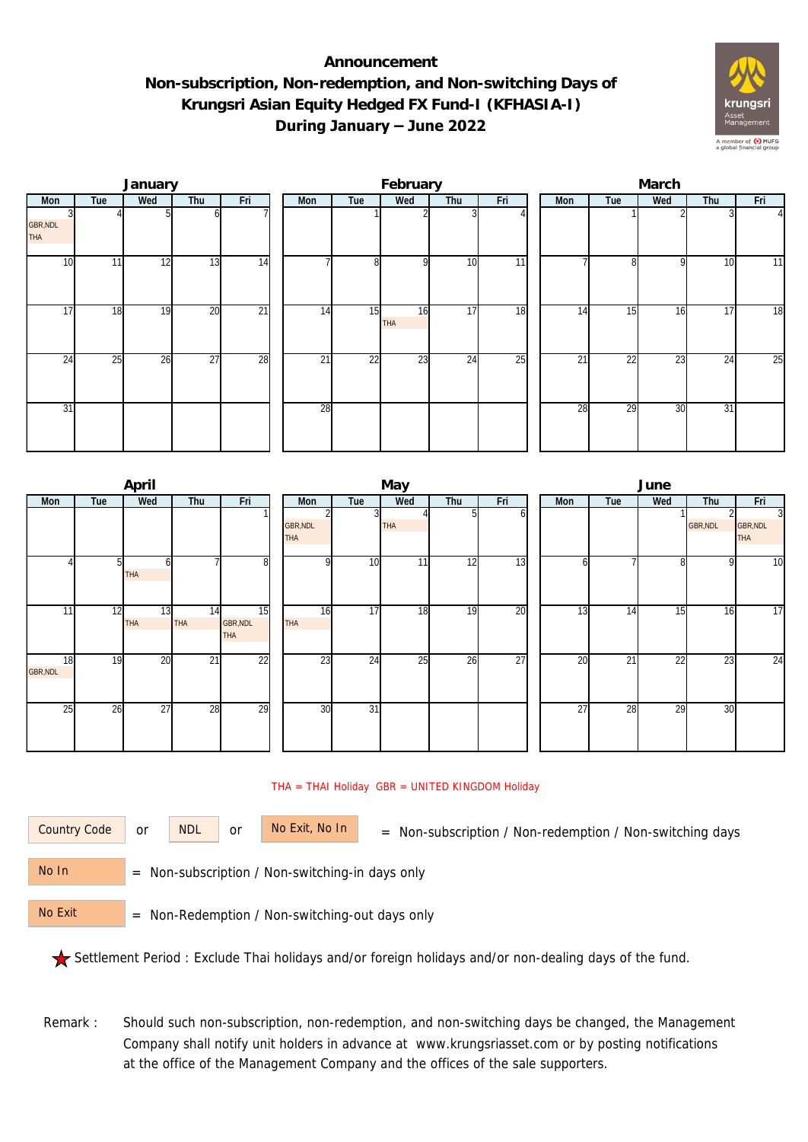## **Announcement Non-subscription, Non-redemption, and Non-switching Days of Krungsri Asian Equity Hedged FX Fund-I (KFHASIA-I) During January – June 2022**



|                        |     | January |                 |                 |                 |     | February  |                 |     | March |                 |     |                 |          |  |  |
|------------------------|-----|---------|-----------------|-----------------|-----------------|-----|-----------|-----------------|-----|-------|-----------------|-----|-----------------|----------|--|--|
| Mon                    | Tue | Wed     | Thu             | Fri             | Mon             | Tue | Wed       | Thu             | Fri | Mon   | Tue             | Wed | Thu             | Fri      |  |  |
| GBR, NDL<br><b>THA</b> |     |         | ωI              |                 |                 |     |           |                 |     |       |                 |     |                 | $\Delta$ |  |  |
| 10                     | 11  | 12      | 13              | 14              | ⇁               | 8   | οI        | 10              | 11  |       | 81              | Q   | 10              | 11       |  |  |
| $1\overline{7}$        | 18  | 19      | 20              | $\overline{21}$ | 14              | 15  | 16<br>THA | 17              | 18  | 14    | 15              | 16  | 17              | 18       |  |  |
| 24                     | 25  | 26      | $\overline{27}$ | 28              | $2\overline{1}$ | 22  | 23        | $2\overline{4}$ | 25  | 21    | $\overline{22}$ | 23  | 24              | 25       |  |  |
| $\overline{31}$        |     |         |                 |                 | 28              |     |           |                 |     | 28    | 29              | 30  | $\overline{31}$ |          |  |  |

|                       |     | April            |                  |                       |                               |                 | May        |     |     | June            |     |                 |          |                                          |  |  |
|-----------------------|-----|------------------|------------------|-----------------------|-------------------------------|-----------------|------------|-----|-----|-----------------|-----|-----------------|----------|------------------------------------------|--|--|
| Mon                   | Tue | Wed              | Thu              | Fri                   | Mon                           | Tue             | Wed        | Thu | Fri | Mon             | Tue | Wed             | Thu      | Fri                                      |  |  |
|                       |     |                  |                  |                       | <b>GBR, NDL</b><br><b>THA</b> |                 | <b>THA</b> |     | ΩI  |                 |     |                 | GBR, NDL | $\overline{3}$<br>GBR, NDL<br><b>THA</b> |  |  |
|                       | 51  | h<br><b>THA</b>  |                  | 8 <sup>1</sup>        | $\Omega$                      | 10              | 11         | 12  | 13  | h               |     | 8               | 9        | 10                                       |  |  |
| 11                    | 12  | 13<br><b>THA</b> | 14<br><b>THA</b> | 15<br>GBR, NDL<br>THA | 16<br><b>THA</b>              | 17              | 18         | 19  | 20  | 13              | 14  | 15              | 16       | 17                                       |  |  |
| 18<br><b>GBR, NDL</b> | 19  | 20               | $\overline{21}$  | $\overline{22}$       | 23                            | $\overline{24}$ | 25         | 26  | 27  | $\overline{20}$ | 21  | $\overline{22}$ | 23       | 24                                       |  |  |
| 25                    | 26  | $\overline{27}$  | 28               | 29                    | 30                            | $\overline{31}$ |            |     |     | $\overline{27}$ | 28  | 29              | 30       |                                          |  |  |

## THA = THAI Holiday GBR = UNITED KINGDOM Holiday

or NDL or

Country Code or NDL or No Exit, No In = Non-subscription / Non-redemption / Non-switching days

 = Non-subscription / Non-switching-in days only No In

 = Non-Redemption / Non-switching-out days only No Exit

Settlement Period : Exclude Thai holidays and/or foreign holidays and/or non-dealing days of the fund.

Remark : Should such non-subscription, non-redemption, and non-switching days be changed, the Management Company shall notify unit holders in advance at www.krungsriasset.com or by posting notifications at the office of the Management Company and the offices of the sale supporters.